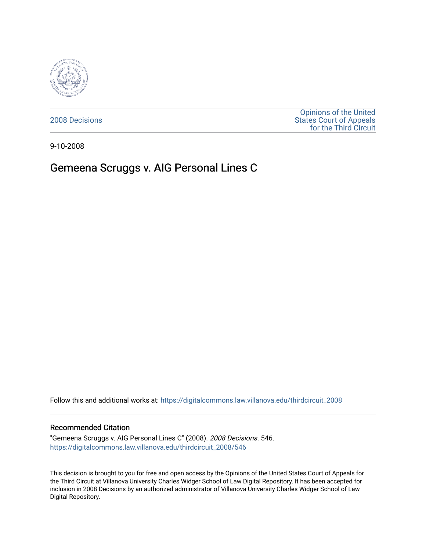

[2008 Decisions](https://digitalcommons.law.villanova.edu/thirdcircuit_2008)

[Opinions of the United](https://digitalcommons.law.villanova.edu/thirdcircuit)  [States Court of Appeals](https://digitalcommons.law.villanova.edu/thirdcircuit)  [for the Third Circuit](https://digitalcommons.law.villanova.edu/thirdcircuit) 

9-10-2008

## Gemeena Scruggs v. AIG Personal Lines C

Follow this and additional works at: [https://digitalcommons.law.villanova.edu/thirdcircuit\\_2008](https://digitalcommons.law.villanova.edu/thirdcircuit_2008?utm_source=digitalcommons.law.villanova.edu%2Fthirdcircuit_2008%2F546&utm_medium=PDF&utm_campaign=PDFCoverPages) 

## Recommended Citation

"Gemeena Scruggs v. AIG Personal Lines C" (2008). 2008 Decisions. 546. [https://digitalcommons.law.villanova.edu/thirdcircuit\\_2008/546](https://digitalcommons.law.villanova.edu/thirdcircuit_2008/546?utm_source=digitalcommons.law.villanova.edu%2Fthirdcircuit_2008%2F546&utm_medium=PDF&utm_campaign=PDFCoverPages)

This decision is brought to you for free and open access by the Opinions of the United States Court of Appeals for the Third Circuit at Villanova University Charles Widger School of Law Digital Repository. It has been accepted for inclusion in 2008 Decisions by an authorized administrator of Villanova University Charles Widger School of Law Digital Repository.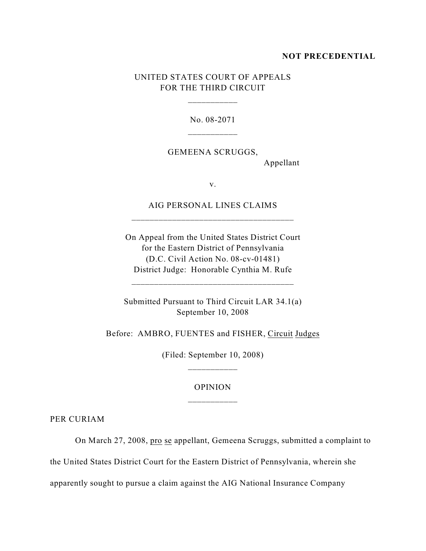## **NOT PRECEDENTIAL**

## UNITED STATES COURT OF APPEALS FOR THE THIRD CIRCUIT

\_\_\_\_\_\_\_\_\_\_\_

No. 08-2071

GEMEENA SCRUGGS,

Appellant

v.

AIG PERSONAL LINES CLAIMS \_\_\_\_\_\_\_\_\_\_\_\_\_\_\_\_\_\_\_\_\_\_\_\_\_\_\_\_\_\_\_\_\_\_\_\_

On Appeal from the United States District Court for the Eastern District of Pennsylvania (D.C. Civil Action No. 08-cv-01481) District Judge: Honorable Cynthia M. Rufe

\_\_\_\_\_\_\_\_\_\_\_\_\_\_\_\_\_\_\_\_\_\_\_\_\_\_\_\_\_\_\_\_\_\_\_\_

Submitted Pursuant to Third Circuit LAR 34.1(a) September 10, 2008

Before: AMBRO, FUENTES and FISHER, Circuit Judges

(Filed: September 10, 2008) \_\_\_\_\_\_\_\_\_\_\_

OPINION

PER CURIAM

On March 27, 2008, pro se appellant, Gemeena Scruggs, submitted a complaint to

the United States District Court for the Eastern District of Pennsylvania, wherein she

apparently sought to pursue a claim against the AIG National Insurance Company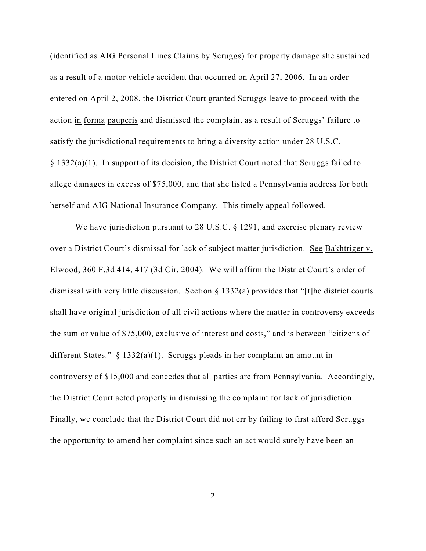(identified as AIG Personal Lines Claims by Scruggs) for property damage she sustained as a result of a motor vehicle accident that occurred on April 27, 2006. In an order entered on April 2, 2008, the District Court granted Scruggs leave to proceed with the action in forma pauperis and dismissed the complaint as a result of Scruggs' failure to satisfy the jurisdictional requirements to bring a diversity action under 28 U.S.C. § 1332(a)(1). In support of its decision, the District Court noted that Scruggs failed to allege damages in excess of \$75,000, and that she listed a Pennsylvania address for both herself and AIG National Insurance Company. This timely appeal followed.

We have jurisdiction pursuant to 28 U.S.C. § 1291, and exercise plenary review over a District Court's dismissal for lack of subject matter jurisdiction. See Bakhtriger v. Elwood, 360 F.3d 414, 417 (3d Cir. 2004). We will affirm the District Court's order of dismissal with very little discussion. Section § 1332(a) provides that "[t]he district courts shall have original jurisdiction of all civil actions where the matter in controversy exceeds the sum or value of \$75,000, exclusive of interest and costs," and is between "citizens of different States." § 1332(a)(1). Scruggs pleads in her complaint an amount in controversy of \$15,000 and concedes that all parties are from Pennsylvania. Accordingly, the District Court acted properly in dismissing the complaint for lack of jurisdiction. Finally, we conclude that the District Court did not err by failing to first afford Scruggs the opportunity to amend her complaint since such an act would surely have been an

2